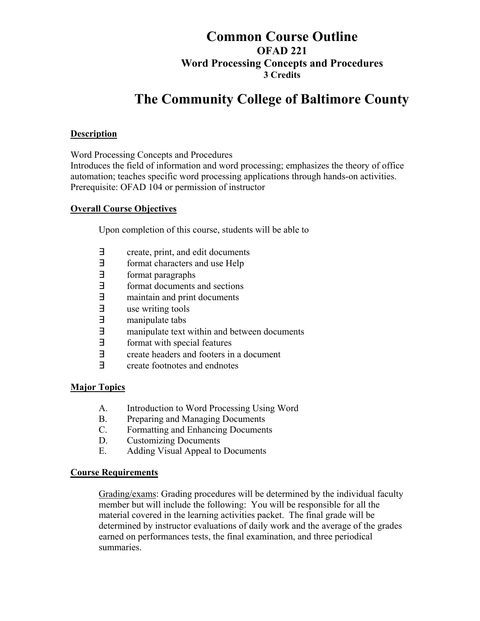# **Common Course Outline OFAD 221 Word Processing Concepts and Procedures 3 Credits**

# **The Community College of Baltimore County**

#### **Description**

Word Processing Concepts and Procedures

Introduces the field of information and word processing; emphasizes the theory of office automation; teaches specific word processing applications through hands-on activities. Prerequisite: OFAD 104 or permission of instructor

#### **Overall Course Objectives**

Upon completion of this course, students will be able to

- ∃ create, print, and edit documents
- ∃ format characters and use Help
- format paragraphs
- ∃ format documents and sections
- ∃ maintain and print documents
- ∃ use writing tools
- ∃ manipulate tabs
- ∃ manipulate text within and between documents
- format with special features
- ∃ create headers and footers in a document
- ∃ create footnotes and endnotes

### **Major Topics**

- A. Introduction to Word Processing Using Word
- B. Preparing and Managing Documents
- C. Formatting and Enhancing Documents
- D. Customizing Documents
- E. Adding Visual Appeal to Documents

#### **Course Requirements**

Grading/exams: Grading procedures will be determined by the individual faculty member but will include the following: You will be responsible for all the material covered in the learning activities packet. The final grade will be determined by instructor evaluations of daily work and the average of the grades earned on performances tests, the final examination, and three periodical summaries.